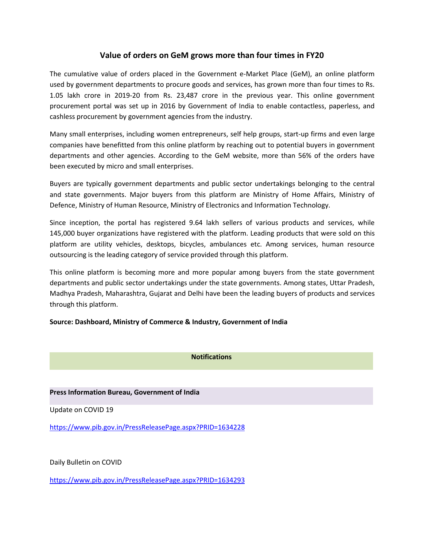# **Value of orders on GeM grows more than four times in FY20**

The cumulative value of orders placed in the Government e-Market Place (GeM), an online platform used by government departments to procure goods and services, has grown more than four times to Rs. 1.05 lakh crore in 2019-20 from Rs. 23,487 crore in the previous year. This online government procurement portal was set up in 2016 by Government of India to enable contactless, paperless, and cashless procurement by government agencies from the industry.

Many small enterprises, including women entrepreneurs, self help groups, start-up firms and even large companies have benefitted from this online platform by reaching out to potential buyers in government departments and other agencies. According to the GeM website, more than 56% of the orders have been executed by micro and small enterprises.

Buyers are typically government departments and public sector undertakings belonging to the central and state governments. Major buyers from this platform are Ministry of Home Affairs, Ministry of Defence, Ministry of Human Resource, Ministry of Electronics and Information Technology.

Since inception, the portal has registered 9.64 lakh sellers of various products and services, while 145,000 buyer organizations have registered with the platform. Leading products that were sold on this platform are utility vehicles, desktops, bicycles, ambulances etc. Among services, human resource outsourcing is the leading category of service provided through this platform.

This online platform is becoming more and more popular among buyers from the state government departments and public sector undertakings under the state governments. Among states, Uttar Pradesh, Madhya Pradesh, Maharashtra, Gujarat and Delhi have been the leading buyers of products and services through this platform.

### **Source: Dashboard, Ministry of Commerce & Industry, Government of India**

## **Notifications**

### **Press Information Bureau, Government of India**

Update on COVID 19

<https://www.pib.gov.in/PressReleasePage.aspx?PRID=1634228>

Daily Bulletin on COVID

<https://www.pib.gov.in/PressReleasePage.aspx?PRID=1634293>